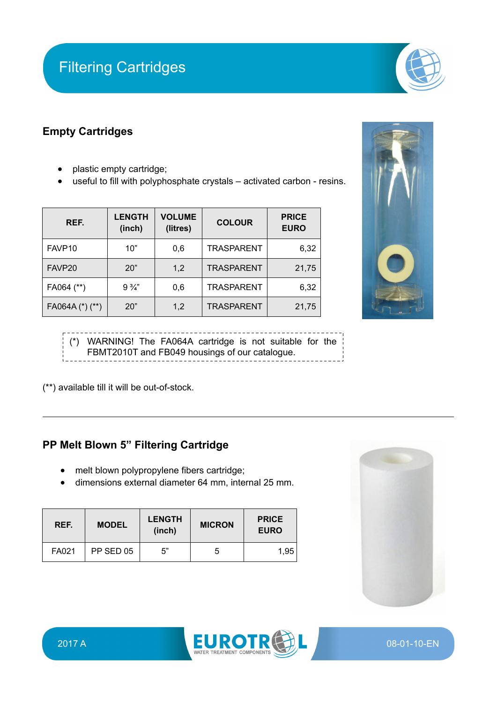# Filtering Cartridges

### **Empty Cartridges**

- plastic empty cartridge;
- useful to fill with polyphosphate crystals activated carbon resins.

| REF.            | <b>LENGTH</b><br>(inch) | <b>VOLUME</b><br>(litres) | <b>COLOUR</b>     | <b>PRICE</b><br><b>EURO</b> |
|-----------------|-------------------------|---------------------------|-------------------|-----------------------------|
| FAVP10          | 10"                     | 0,6                       | <b>TRASPARENT</b> | 6,32                        |
| FAVP20          | 20"                     | 1,2                       | <b>TRASPARENT</b> | 21,75                       |
| FA064 (**)      | $9\frac{3}{4}$          | 0,6                       | <b>TRASPARENT</b> | 6,32                        |
| FA064A (*) (**) | 20"                     | 1,2                       | <b>TRASPARENT</b> | 21,75                       |



(\*) WARNING! The FA064A cartridge is not suitable for the FBMT2010T and FB049 housings of our catalogue.

(\*\*) available till it will be out-of-stock.

### **PP Melt Blown 5" Filtering Cartridge**

- melt blown polypropylene fibers cartridge;
- dimensions external diameter 64 mm, internal 25 mm.

| REF.  | <b>MODEL</b> | <b>LENGTH</b><br>(inch) | <b>MICRON</b> | <b>PRICE</b><br><b>EURO</b> |
|-------|--------------|-------------------------|---------------|-----------------------------|
| FA021 | PP SED 05    | 5"                      | b             | 1,95                        |





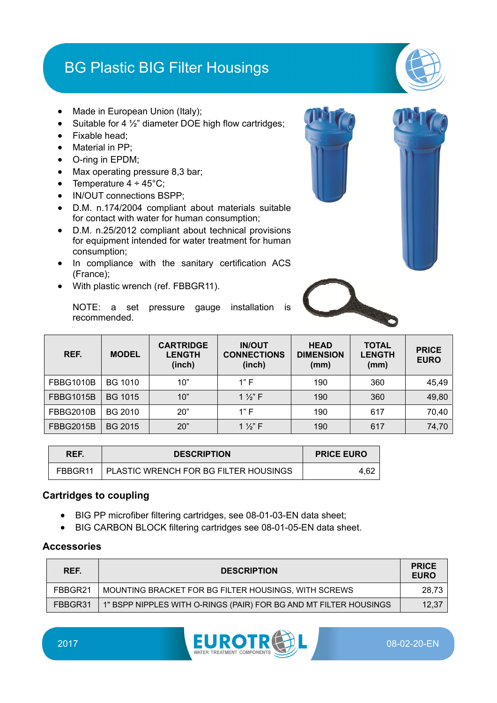## BG Plastic BIG Filter Housings

- Made in European Union (Italy);
- Suitable for 4 ½" diameter DOE high flow cartridges;
- Fixable head;
- Material in PP;
- O-ring in EPDM;
- Max operating pressure 8,3 bar;
- Temperature  $4 \div 45^{\circ}$ C;
- IN/OUT connections BSPP;
- D.M. n.174/2004 compliant about materials suitable for contact with water for human consumption;
- D.M. n.25/2012 compliant about technical provisions for equipment intended for water treatment for human consumption;
- In compliance with the sanitary certification ACS (France);
- With plastic wrench (ref. FBBGR11).

NOTE: a set pressure gauge installation is recommended.

| REF.             | <b>MODEL</b>   | <b>CARTRIDGE</b><br><b>LENGTH</b><br>(inch) | <b>IN/OUT</b><br><b>CONNECTIONS</b><br>(inch) | <b>HEAD</b><br><b>DIMENSION</b><br>(mm) | <b>TOTAL</b><br><b>LENGTH</b><br>(mm) | <b>PRICE</b><br><b>EURO</b> |
|------------------|----------------|---------------------------------------------|-----------------------------------------------|-----------------------------------------|---------------------------------------|-----------------------------|
| <b>FBBG1010B</b> | <b>BG 1010</b> | 10"                                         | 1"F                                           | 190                                     | 360                                   | 45,49                       |
| <b>FBBG1015B</b> | <b>BG 1015</b> | 10"                                         | 1 $\frac{1}{2}$ F                             | 190                                     | 360                                   | 49,80                       |
| <b>FBBG2010B</b> | BG 2010        | 20"                                         | 1"F                                           | 190                                     | 617                                   | 70,40                       |
| <b>FBBG2015B</b> | BG 2015        | 20"                                         | 1 $\frac{1}{2}$ F                             | 190                                     | 617                                   | 74,70                       |

| REF. | <b>DESCRIPTION</b>                              | <b>PRICE EURO</b> |
|------|-------------------------------------------------|-------------------|
|      | FBBGR11   PLASTIC WRENCH FOR BG FILTER HOUSINGS | 4.62              |

### **Cartridges to coupling**

- BIG PP microfiber filtering cartridges, see 08-01-03-EN data sheet;
- BIG CARBON BLOCK filtering cartridges see 08-01-05-EN data sheet.

| REF.    | <b>DESCRIPTION</b>                                                | <b>PRICE</b><br><b>EURO</b> |
|---------|-------------------------------------------------------------------|-----------------------------|
| FBBGR21 | MOUNTING BRACKET FOR BG FILTER HOUSINGS, WITH SCREWS              | 28.73                       |
| FBBGR31 | 1" BSPP NIPPLES WITH O-RINGS (PAIR) FOR BG AND MT FILTER HOUSINGS | 12,37                       |





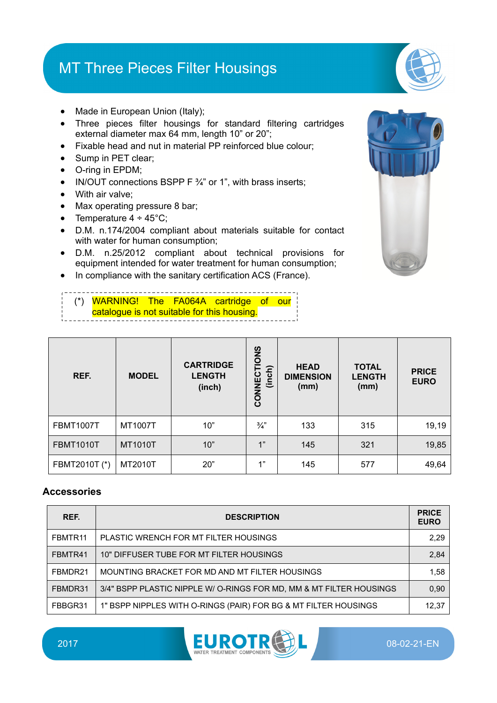## MT Three Pieces Filter Housings

- Made in European Union (Italy);
- Three pieces filter housings for standard filtering cartridges external diameter max 64 mm, length 10" or 20";
- Fixable head and nut in material PP reinforced blue colour;
- Sump in PET clear;
- O-ring in EPDM;
- IN/OUT connections BSPP  $F \frac{3}{4}$ " or 1", with brass inserts;
- With air valve:
- Max operating pressure 8 bar;
- Temperature  $4 \div 45^{\circ}$ C;
- D.M. n.174/2004 compliant about materials suitable for contact with water for human consumption;
- D.M. n.25/2012 compliant about technical provisions for equipment intended for water treatment for human consumption;
- In compliance with the sanitary certification ACS (France).

(\*) WARNING! The FA064A cartridge of our catalogue is not suitable for this housing.

| REF.             | <b>MODEL</b>   | <b>CARTRIDGE</b><br><b>LENGTH</b><br>(inch) | CONNECTIONS<br>(inch) | <b>HEAD</b><br><b>DIMENSION</b><br>(mm) | <b>TOTAL</b><br><b>LENGTH</b><br>(mm) | <b>PRICE</b><br><b>EURO</b> |
|------------------|----------------|---------------------------------------------|-----------------------|-----------------------------------------|---------------------------------------|-----------------------------|
| <b>FBMT1007T</b> | MT1007T        | 10"                                         | $\frac{3}{4}$         | 133                                     | 315                                   | 19,19                       |
| <b>FBMT1010T</b> | <b>MT1010T</b> | 10"                                         | 1"                    | 145                                     | 321                                   | 19,85                       |
| FBMT2010T (*)    | MT2010T        | 20"                                         | 1"                    | 145                                     | 577                                   | 49,64                       |

| REF.    | <b>DESCRIPTION</b>                                                  | <b>PRICE</b><br><b>EURO</b> |
|---------|---------------------------------------------------------------------|-----------------------------|
| FBMTR11 | PLASTIC WRENCH FOR MT FILTER HOUSINGS                               | 2,29                        |
| FBMTR41 | 10" DIFFUSER TUBE FOR MT FILTER HOUSINGS                            | 2,84                        |
| FBMDR21 | MOUNTING BRACKET FOR MD AND MT FILTER HOUSINGS                      | 1.58                        |
| FBMDR31 | 3/4" BSPP PLASTIC NIPPLE W/ O-RINGS FOR MD, MM & MT FILTER HOUSINGS | 0,90                        |
| FBBGR31 | 1" BSPP NIPPLES WITH O-RINGS (PAIR) FOR BG & MT FILTER HOUSINGS     | 12,37                       |



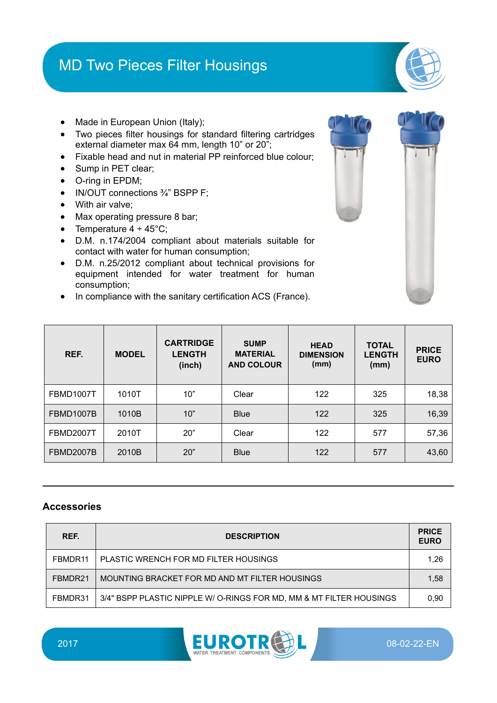## MD Two Pieces Filter Housings



- Made in European Union (Italy);
- Two pieces filter housings for standard filtering cartridges external diameter max 64 mm, length 10" or 20";
- Fixable head and nut in material PP reinforced blue colour;
- Sump in PET clear;
- O-ring in EPDM;
- IN/OUT connections  $\frac{3}{4}$ " BSPP F;
- With air valve:
- Max operating pressure 8 bar;
- Temperature  $4 \div 45^{\circ}$ C;
- D.M. n.174/2004 compliant about materials suitable for contact with water for human consumption;
- D.M. n.25/2012 compliant about technical provisions for equipment intended for water treatment for human consumption;
- In compliance with the sanitary certification ACS (France).

| REF.             | <b>MODEL</b> | <b>CARTRIDGE</b><br><b>LENGTH</b><br>(inch) | <b>SUMP</b><br><b>MATERIAL</b><br><b>AND COLOUR</b> | <b>HEAD</b><br><b>DIMENSION</b><br>(mm) | <b>TOTAL</b><br><b>LENGTH</b><br>(mm) | <b>PRICE</b><br><b>EURO</b> |
|------------------|--------------|---------------------------------------------|-----------------------------------------------------|-----------------------------------------|---------------------------------------|-----------------------------|
| FBMD1007T        | 1010T        | 10"                                         | Clear                                               | 122                                     | 325                                   | 18,38                       |
| FBMD1007B        | 1010B        | 10"                                         | <b>Blue</b>                                         | 122                                     | 325                                   | 16,39                       |
| <b>FBMD2007T</b> | 2010T        | 20"                                         | Clear                                               | 122                                     | 577                                   | 57,36                       |
| <b>FBMD2007B</b> | 2010B        | 20"                                         | <b>Blue</b>                                         | 122                                     | 577                                   | 43,60                       |

| REF.    | <b>DESCRIPTION</b>                                                  | <b>PRICE</b><br><b>EURO</b> |
|---------|---------------------------------------------------------------------|-----------------------------|
| FBMDR11 | PLASTIC WRENCH FOR MD FILTER HOUSINGS                               | 1,26                        |
| FBMDR21 | MOUNTING BRACKET FOR MD AND MT FILTER HOUSINGS                      | 1,58                        |
| FBMDR31 | 3/4" BSPP PLASTIC NIPPLE W/ O-RINGS FOR MD, MM & MT FILTER HOUSINGS | 0.90                        |